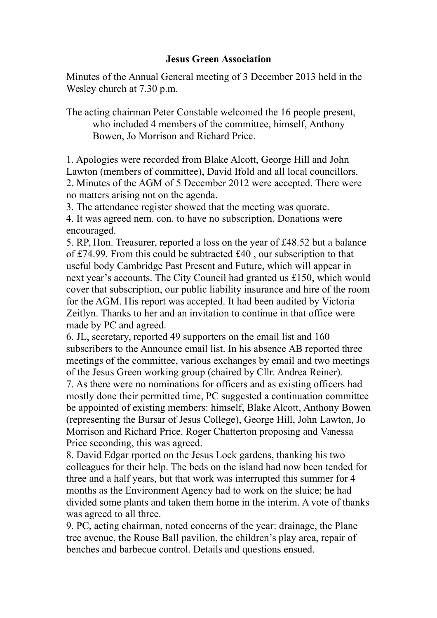## **Jesus Green Association**

Minutes of the Annual General meeting of 3 December 2013 held in the Wesley church at 7.30 p.m.

The acting chairman Peter Constable welcomed the 16 people present, who included 4 members of the committee, himself, Anthony Bowen, Jo Morrison and Richard Price.

1. Apologies were recorded from Blake Alcott, George Hill and John Lawton (members of committee), David Ifold and all local councillors. 2. Minutes of the AGM of 5 December 2012 were accepted. There were no matters arising not on the agenda.

3. The attendance register showed that the meeting was quorate. 4. It was agreed nem. con. to have no subscription. Donations were encouraged.

5. RP, Hon. Treasurer, reported a loss on the year of £48.52 but a balance of £74.99. From this could be subtracted £40 , our subscription to that useful body Cambridge Past Present and Future, which will appear in next year's accounts. The City Council had granted us £150, which would cover that subscription, our public liability insurance and hire of the room for the AGM. His report was accepted. It had been audited by Victoria Zeitlyn. Thanks to her and an invitation to continue in that office were made by PC and agreed.

6. JL, secretary, reported 49 supporters on the email list and 160 subscribers to the Announce email list. In his absence AB reported three meetings of the committee, various exchanges by email and two meetings of the Jesus Green working group (chaired by Cllr. Andrea Reiner).

7. As there were no nominations for officers and as existing officers had mostly done their permitted time, PC suggested a continuation committee be appointed of existing members: himself, Blake Alcott, Anthony Bowen (representing the Bursar of Jesus College), George Hill, John Lawton, Jo Morrison and Richard Price. Roger Chatterton proposing and Vanessa Price seconding, this was agreed.

8. David Edgar rported on the Jesus Lock gardens, thanking his two colleagues for their help. The beds on the island had now been tended for three and a half years, but that work was interrupted this summer for 4 months as the Environment Agency had to work on the sluice; he had divided some plants and taken them home in the interim. A vote of thanks was agreed to all three.

9. PC, acting chairman, noted concerns of the year: drainage, the Plane tree avenue, the Rouse Ball pavilion, the children's play area, repair of benches and barbecue control. Details and questions ensued.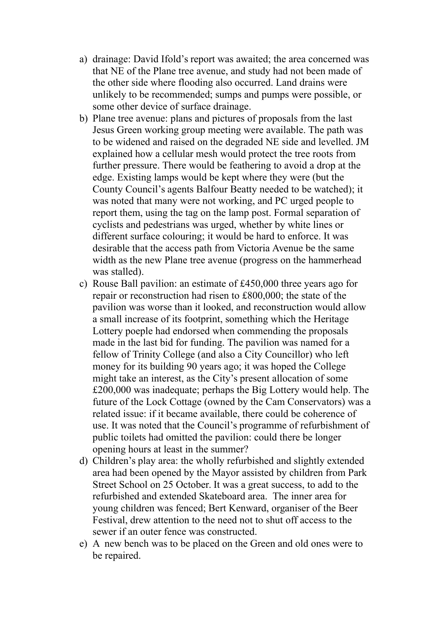- a) drainage: David Ifold's report was awaited; the area concerned was that NE of the Plane tree avenue, and study had not been made of the other side where flooding also occurred. Land drains were unlikely to be recommended; sumps and pumps were possible, or some other device of surface drainage.
- b) Plane tree avenue: plans and pictures of proposals from the last Jesus Green working group meeting were available. The path was to be widened and raised on the degraded NE side and levelled. JM explained how a cellular mesh would protect the tree roots from further pressure. There would be feathering to avoid a drop at the edge. Existing lamps would be kept where they were (but the County Council's agents Balfour Beatty needed to be watched); it was noted that many were not working, and PC urged people to report them, using the tag on the lamp post. Formal separation of cyclists and pedestrians was urged, whether by white lines or different surface colouring; it would be hard to enforce. It was desirable that the access path from Victoria Avenue be the same width as the new Plane tree avenue (progress on the hammerhead was stalled).
- c) Rouse Ball pavilion: an estimate of £450,000 three years ago for repair or reconstruction had risen to £800,000; the state of the pavilion was worse than it looked, and reconstruction would allow a small increase of its footprint, something which the Heritage Lottery poeple had endorsed when commending the proposals made in the last bid for funding. The pavilion was named for a fellow of Trinity College (and also a City Councillor) who left money for its building 90 years ago; it was hoped the College might take an interest, as the City's present allocation of some £200,000 was inadequate; perhaps the Big Lottery would help. The future of the Lock Cottage (owned by the Cam Conservators) was a related issue: if it became available, there could be coherence of use. It was noted that the Council's programme of refurbishment of public toilets had omitted the pavilion: could there be longer opening hours at least in the summer?
- d) Children's play area: the wholly refurbished and slightly extended area had been opened by the Mayor assisted by children from Park Street School on 25 October. It was a great success, to add to the refurbished and extended Skateboard area. The inner area for young children was fenced; Bert Kenward, organiser of the Beer Festival, drew attention to the need not to shut off access to the sewer if an outer fence was constructed.
- e) A new bench was to be placed on the Green and old ones were to be repaired.